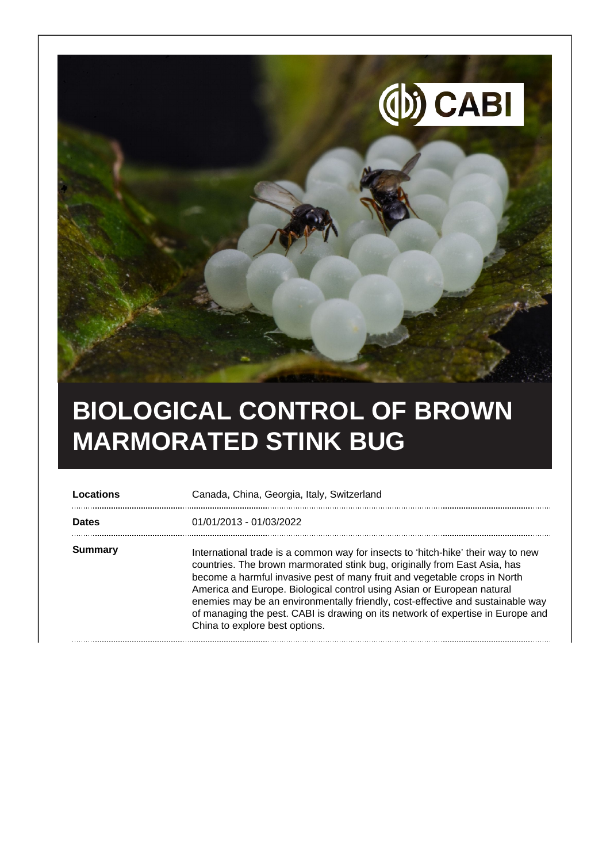

## **BIOLOGICAL CONTROL OF BROWN MARMORATED STINK BUG**

| Locations    | Canada, China, Georgia, Italy, Switzerland                                                                                                                                                                                                                                                                                                                                                                                                                                                                                  |
|--------------|-----------------------------------------------------------------------------------------------------------------------------------------------------------------------------------------------------------------------------------------------------------------------------------------------------------------------------------------------------------------------------------------------------------------------------------------------------------------------------------------------------------------------------|
| <b>Dates</b> | 01/01/2013 - 01/03/2022                                                                                                                                                                                                                                                                                                                                                                                                                                                                                                     |
| Summary      | International trade is a common way for insects to 'hitch-hike' their way to new<br>countries. The brown marmorated stink bug, originally from East Asia, has<br>become a harmful invasive pest of many fruit and vegetable crops in North<br>America and Europe. Biological control using Asian or European natural<br>enemies may be an environmentally friendly, cost-effective and sustainable way<br>of managing the pest. CABI is drawing on its network of expertise in Europe and<br>China to explore best options. |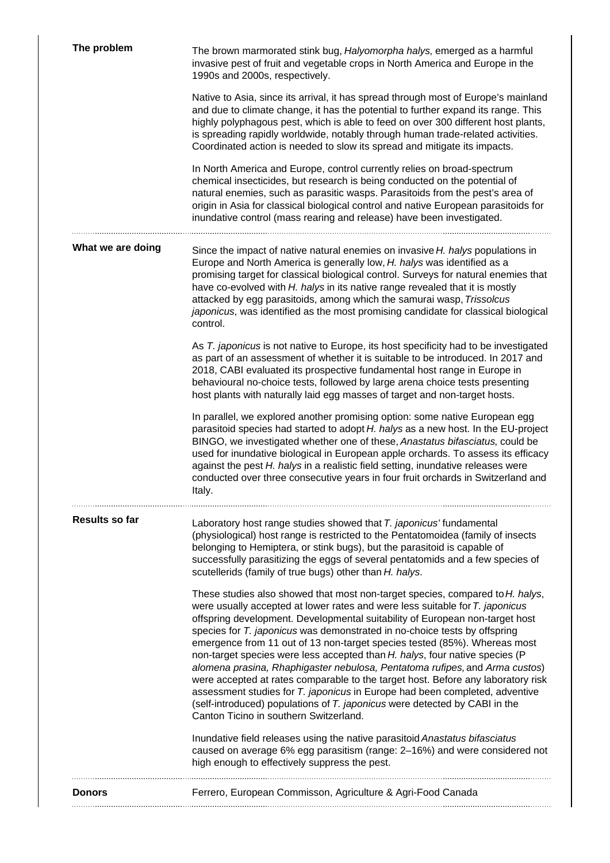| Native to Asia, since its arrival, it has spread through most of Europe's mainland<br>and due to climate change, it has the potential to further expand its range. This<br>highly polyphagous pest, which is able to feed on over 300 different host plants,<br>is spreading rapidly worldwide, notably through human trade-related activities.<br>Coordinated action is needed to slow its spread and mitigate its impacts.<br>In North America and Europe, control currently relies on broad-spectrum<br>chemical insecticides, but research is being conducted on the potential of<br>natural enemies, such as parasitic wasps. Parasitoids from the pest's area of<br>origin in Asia for classical biological control and native European parasitoids for<br>inundative control (mass rearing and release) have been investigated.<br>What we are doing<br>Since the impact of native natural enemies on invasive <i>H. halys</i> populations in<br>Europe and North America is generally low, H. halys was identified as a<br>promising target for classical biological control. Surveys for natural enemies that<br>have co-evolved with H. halys in its native range revealed that it is mostly<br>attacked by egg parasitoids, among which the samurai wasp, Trissolcus<br>japonicus, was identified as the most promising candidate for classical biological<br>control.<br>As T. japonicus is not native to Europe, its host specificity had to be investigated<br>as part of an assessment of whether it is suitable to be introduced. In 2017 and<br>2018, CABI evaluated its prospective fundamental host range in Europe in<br>behavioural no-choice tests, followed by large arena choice tests presenting<br>host plants with naturally laid egg masses of target and non-target hosts.<br>In parallel, we explored another promising option: some native European egg<br>parasitoid species had started to adopt H. halys as a new host. In the EU-project<br>BINGO, we investigated whether one of these, Anastatus bifasciatus, could be<br>used for inundative biological in European apple orchards. To assess its efficacy<br>against the pest H. halys in a realistic field setting, inundative releases were<br>conducted over three consecutive years in four fruit orchards in Switzerland and<br>Italy.<br>Results so far<br>Laboratory host range studies showed that T. japonicus' fundamental<br>(physiological) host range is restricted to the Pentatomoidea (family of insects<br>belonging to Hemiptera, or stink bugs), but the parasitoid is capable of<br>successfully parasitizing the eggs of several pentatomids and a few species of<br>scutellerids (family of true bugs) other than H. halys.<br>These studies also showed that most non-target species, compared to H. halys,<br>were usually accepted at lower rates and were less suitable for T. japonicus<br>offspring development. Developmental suitability of European non-target host<br>species for T. japonicus was demonstrated in no-choice tests by offspring<br>emergence from 11 out of 13 non-target species tested (85%). Whereas most<br>non-target species were less accepted than H. halys, four native species (P<br>alomena prasina, Rhaphigaster nebulosa, Pentatoma rufipes, and Arma custos)<br>were accepted at rates comparable to the target host. Before any laboratory risk<br>assessment studies for T. japonicus in Europe had been completed, adventive<br>(self-introduced) populations of T. japonicus were detected by CABI in the<br>Canton Ticino in southern Switzerland.<br>Inundative field releases using the native parasitoid Anastatus bifasciatus<br>caused on average 6% egg parasitism (range: 2-16%) and were considered not<br>high enough to effectively suppress the pest.<br>Ferrero, European Commisson, Agriculture & Agri-Food Canada<br><b>Donors</b> | The problem | The brown marmorated stink bug, Halyomorpha halys, emerged as a harmful<br>invasive pest of fruit and vegetable crops in North America and Europe in the<br>1990s and 2000s, respectively. |
|------------------------------------------------------------------------------------------------------------------------------------------------------------------------------------------------------------------------------------------------------------------------------------------------------------------------------------------------------------------------------------------------------------------------------------------------------------------------------------------------------------------------------------------------------------------------------------------------------------------------------------------------------------------------------------------------------------------------------------------------------------------------------------------------------------------------------------------------------------------------------------------------------------------------------------------------------------------------------------------------------------------------------------------------------------------------------------------------------------------------------------------------------------------------------------------------------------------------------------------------------------------------------------------------------------------------------------------------------------------------------------------------------------------------------------------------------------------------------------------------------------------------------------------------------------------------------------------------------------------------------------------------------------------------------------------------------------------------------------------------------------------------------------------------------------------------------------------------------------------------------------------------------------------------------------------------------------------------------------------------------------------------------------------------------------------------------------------------------------------------------------------------------------------------------------------------------------------------------------------------------------------------------------------------------------------------------------------------------------------------------------------------------------------------------------------------------------------------------------------------------------------------------------------------------------------------------------------------------------------------------------------------------------------------------------------------------------------------------------------------------------------------------------------------------------------------------------------------------------------------------------------------------------------------------------------------------------------------------------------------------------------------------------------------------------------------------------------------------------------------------------------------------------------------------------------------------------------------------------------------------------------------------------------------------------------------------------------------------------------------------------------------------------------------------------------------------------------------------------------------------------------------------------------------------------------------------------------------------------------------------------------------------------------------------------------------------------------------------------------------------------------------------------------------------------------------------------------------------------------------------------------------------------|-------------|--------------------------------------------------------------------------------------------------------------------------------------------------------------------------------------------|
|                                                                                                                                                                                                                                                                                                                                                                                                                                                                                                                                                                                                                                                                                                                                                                                                                                                                                                                                                                                                                                                                                                                                                                                                                                                                                                                                                                                                                                                                                                                                                                                                                                                                                                                                                                                                                                                                                                                                                                                                                                                                                                                                                                                                                                                                                                                                                                                                                                                                                                                                                                                                                                                                                                                                                                                                                                                                                                                                                                                                                                                                                                                                                                                                                                                                                                                                                                                                                                                                                                                                                                                                                                                                                                                                                                                                                                                                                                            |             |                                                                                                                                                                                            |
|                                                                                                                                                                                                                                                                                                                                                                                                                                                                                                                                                                                                                                                                                                                                                                                                                                                                                                                                                                                                                                                                                                                                                                                                                                                                                                                                                                                                                                                                                                                                                                                                                                                                                                                                                                                                                                                                                                                                                                                                                                                                                                                                                                                                                                                                                                                                                                                                                                                                                                                                                                                                                                                                                                                                                                                                                                                                                                                                                                                                                                                                                                                                                                                                                                                                                                                                                                                                                                                                                                                                                                                                                                                                                                                                                                                                                                                                                                            |             |                                                                                                                                                                                            |
|                                                                                                                                                                                                                                                                                                                                                                                                                                                                                                                                                                                                                                                                                                                                                                                                                                                                                                                                                                                                                                                                                                                                                                                                                                                                                                                                                                                                                                                                                                                                                                                                                                                                                                                                                                                                                                                                                                                                                                                                                                                                                                                                                                                                                                                                                                                                                                                                                                                                                                                                                                                                                                                                                                                                                                                                                                                                                                                                                                                                                                                                                                                                                                                                                                                                                                                                                                                                                                                                                                                                                                                                                                                                                                                                                                                                                                                                                                            |             |                                                                                                                                                                                            |
|                                                                                                                                                                                                                                                                                                                                                                                                                                                                                                                                                                                                                                                                                                                                                                                                                                                                                                                                                                                                                                                                                                                                                                                                                                                                                                                                                                                                                                                                                                                                                                                                                                                                                                                                                                                                                                                                                                                                                                                                                                                                                                                                                                                                                                                                                                                                                                                                                                                                                                                                                                                                                                                                                                                                                                                                                                                                                                                                                                                                                                                                                                                                                                                                                                                                                                                                                                                                                                                                                                                                                                                                                                                                                                                                                                                                                                                                                                            |             |                                                                                                                                                                                            |
|                                                                                                                                                                                                                                                                                                                                                                                                                                                                                                                                                                                                                                                                                                                                                                                                                                                                                                                                                                                                                                                                                                                                                                                                                                                                                                                                                                                                                                                                                                                                                                                                                                                                                                                                                                                                                                                                                                                                                                                                                                                                                                                                                                                                                                                                                                                                                                                                                                                                                                                                                                                                                                                                                                                                                                                                                                                                                                                                                                                                                                                                                                                                                                                                                                                                                                                                                                                                                                                                                                                                                                                                                                                                                                                                                                                                                                                                                                            |             |                                                                                                                                                                                            |
|                                                                                                                                                                                                                                                                                                                                                                                                                                                                                                                                                                                                                                                                                                                                                                                                                                                                                                                                                                                                                                                                                                                                                                                                                                                                                                                                                                                                                                                                                                                                                                                                                                                                                                                                                                                                                                                                                                                                                                                                                                                                                                                                                                                                                                                                                                                                                                                                                                                                                                                                                                                                                                                                                                                                                                                                                                                                                                                                                                                                                                                                                                                                                                                                                                                                                                                                                                                                                                                                                                                                                                                                                                                                                                                                                                                                                                                                                                            |             |                                                                                                                                                                                            |
|                                                                                                                                                                                                                                                                                                                                                                                                                                                                                                                                                                                                                                                                                                                                                                                                                                                                                                                                                                                                                                                                                                                                                                                                                                                                                                                                                                                                                                                                                                                                                                                                                                                                                                                                                                                                                                                                                                                                                                                                                                                                                                                                                                                                                                                                                                                                                                                                                                                                                                                                                                                                                                                                                                                                                                                                                                                                                                                                                                                                                                                                                                                                                                                                                                                                                                                                                                                                                                                                                                                                                                                                                                                                                                                                                                                                                                                                                                            |             |                                                                                                                                                                                            |
|                                                                                                                                                                                                                                                                                                                                                                                                                                                                                                                                                                                                                                                                                                                                                                                                                                                                                                                                                                                                                                                                                                                                                                                                                                                                                                                                                                                                                                                                                                                                                                                                                                                                                                                                                                                                                                                                                                                                                                                                                                                                                                                                                                                                                                                                                                                                                                                                                                                                                                                                                                                                                                                                                                                                                                                                                                                                                                                                                                                                                                                                                                                                                                                                                                                                                                                                                                                                                                                                                                                                                                                                                                                                                                                                                                                                                                                                                                            |             |                                                                                                                                                                                            |
|                                                                                                                                                                                                                                                                                                                                                                                                                                                                                                                                                                                                                                                                                                                                                                                                                                                                                                                                                                                                                                                                                                                                                                                                                                                                                                                                                                                                                                                                                                                                                                                                                                                                                                                                                                                                                                                                                                                                                                                                                                                                                                                                                                                                                                                                                                                                                                                                                                                                                                                                                                                                                                                                                                                                                                                                                                                                                                                                                                                                                                                                                                                                                                                                                                                                                                                                                                                                                                                                                                                                                                                                                                                                                                                                                                                                                                                                                                            |             |                                                                                                                                                                                            |